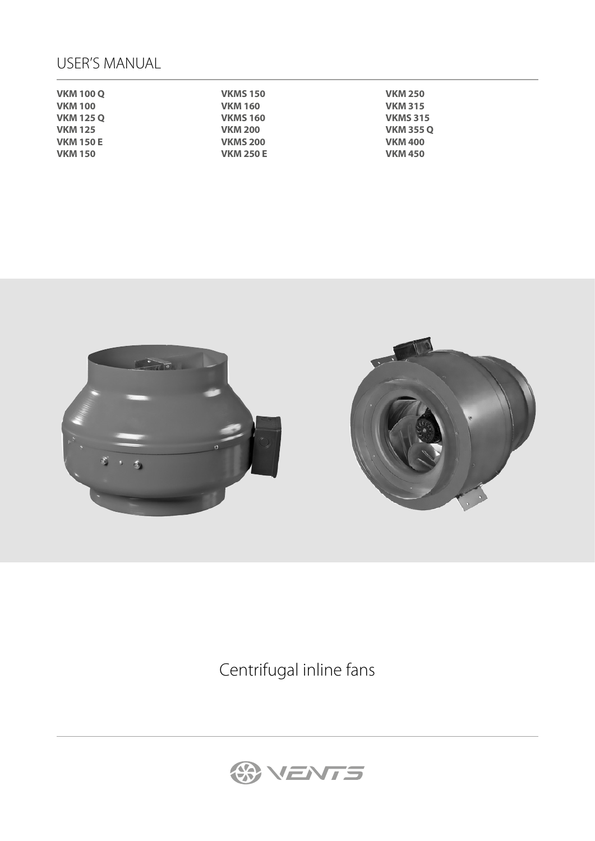# USER'S MANUAL

| <b>VKM 100 Q</b> | <b>VKMS 150</b>  | <b>VKM 250</b>   |
|------------------|------------------|------------------|
| <b>VKM 100</b>   | <b>VKM 160</b>   | <b>VKM 315</b>   |
| <b>VKM 125 Q</b> | <b>VKMS 160</b>  | <b>VKMS 315</b>  |
| <b>VKM 125</b>   | <b>VKM 200</b>   | <b>VKM 355 Q</b> |
| <b>VKM 150 E</b> | <b>VKMS 200</b>  | <b>VKM 400</b>   |
| <b>VKM 150</b>   | <b>VKM 250 E</b> | <b>VKM 450</b>   |



Centrifugal inline fans

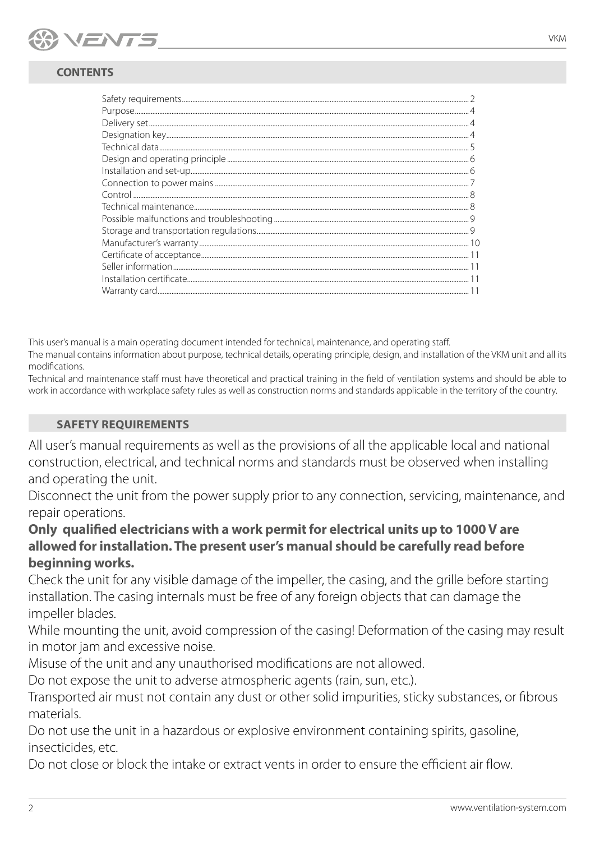

# **CONTENTS**

This user's manual is a main operating document intended for technical, maintenance, and operating staff.

The manual contains information about purpose, technical details, operating principle, design, and installation of the VKM unit and all its modifications.

Technical and maintenance staff must have theoretical and practical training in the field of ventilation systems and should be able to work in accordance with workplace safety rules as well as construction norms and standards applicable in the territory of the country.

# **SAFETY REQUIREMENTS**

All user's manual requirements as well as the provisions of all the applicable local and national construction, electrical, and technical norms and standards must be observed when installing and operating the unit.

Disconnect the unit from the power supply prior to any connection, servicing, maintenance, and repair operations.

# **Only qualified electricians with a work permit for electrical units up to 1000 V are allowed for installation. The present user's manual should be carefully read before beginning works.**

Check the unit for any visible damage of the impeller, the casing, and the grille before starting installation. The casing internals must be free of any foreign objects that can damage the impeller blades.

While mounting the unit, avoid compression of the casing! Deformation of the casing may result in motor jam and excessive noise.

Misuse of the unit and any unauthorised modifications are not allowed.

Do not expose the unit to adverse atmospheric agents (rain, sun, etc.).

Transported air must not contain any dust or other solid impurities, sticky substances, or fibrous materials.

Do not use the unit in a hazardous or explosive environment containing spirits, gasoline, insecticides, etc.

Do not close or block the intake or extract vents in order to ensure the efficient air flow.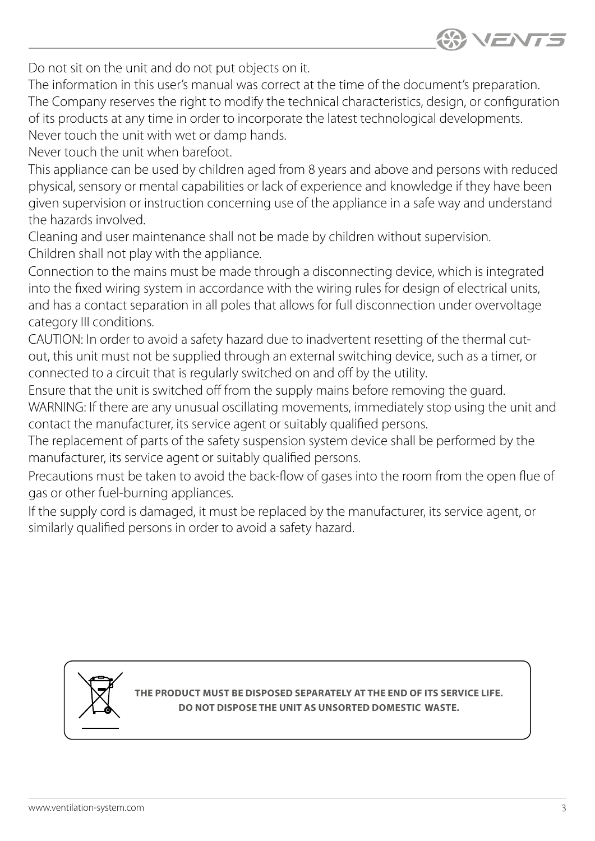

Do not sit on the unit and do not put objects on it.

The information in this user's manual was correct at the time of the document's preparation. The Company reserves the right to modify the technical characteristics, design, or configuration of its products at any time in order to incorporate the latest technological developments. Never touch the unit with wet or damp hands.

Never touch the unit when barefoot.

This appliance can be used by children aged from 8 years and above and persons with reduced physical, sensory or mental capabilities or lack of experience and knowledge if they have been given supervision or instruction concerning use of the appliance in a safe way and understand the hazards involved.

Cleaning and user maintenance shall not be made by children without supervision. Children shall not play with the appliance.

Connection to the mains must be made through a disconnecting device, which is integrated into the fixed wiring system in accordance with the wiring rules for design of electrical units, and has a contact separation in all poles that allows for full disconnection under overvoltage category III conditions.

CAUTION: In order to avoid a safety hazard due to inadvertent resetting of the thermal cutout, this unit must not be supplied through an external switching device, such as a timer, or connected to a circuit that is regularly switched on and off by the utility.

Ensure that the unit is switched off from the supply mains before removing the guard. WARNING: If there are any unusual oscillating movements, immediately stop using the unit and contact the manufacturer, its service agent or suitably qualified persons.

The replacement of parts of the safety suspension system device shall be performed by the manufacturer, its service agent or suitably qualified persons.

Precautions must be taken to avoid the back-flow of gases into the room from the open flue of gas or other fuel-burning appliances.

If the supply cord is damaged, it must be replaced by the manufacturer, its service agent, or similarly qualified persons in order to avoid a safety hazard.



**THE PRODUCT MUST BE DISPOSED SEPARATELY AT THE END OF ITS SERVICE LIFE. DISPOSE THE UNIT AS UNSORTED DOMESTIC WASTE.**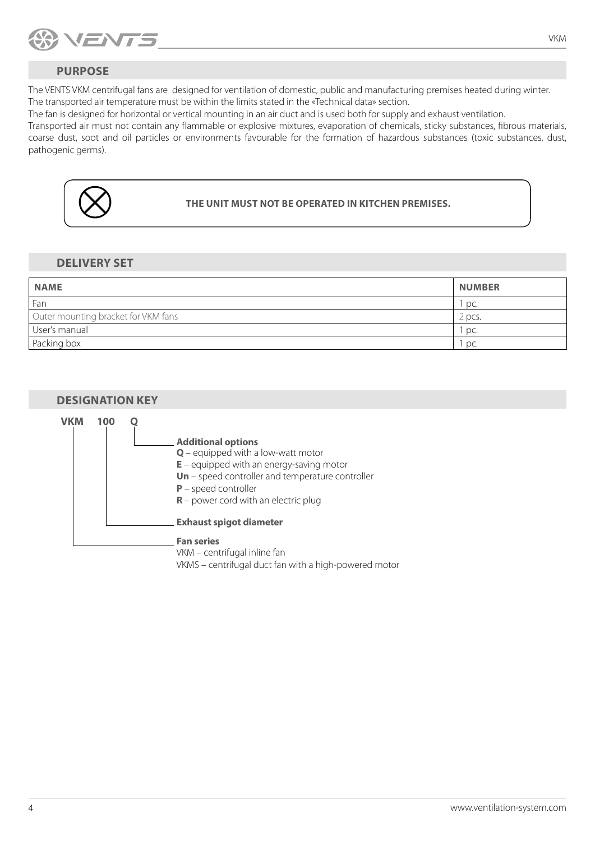<span id="page-3-0"></span>

# **PURPOSE**

The VENTS VKM centrifugal fans are designed for ventilation of domestic, public and manufacturing premises heated during winter. The transported air temperature must be within the limits stated in the «Technical data» section.

The fan is designed for horizontal or vertical mounting in an air duct and is used both for supply and exhaust ventilation.

Transported air must not contain any flammable or explosive mixtures, evaporation of chemicals, sticky substances, fibrous materials, coarse dust, soot and oil particles or environments favourable for the formation of hazardous substances (toxic substances, dust, pathogenic germs).



**THE UNIT MUST NOT BE OPERATED IN KITCHEN PREMISES.**

### **DELIVERY SET**

| <b>NAME</b>                         | <b>NUMBER</b> |
|-------------------------------------|---------------|
| Fan                                 | ` pc.         |
| Outer mounting bracket for VKM fans | 2 pcs.        |
| User's manual                       | 1 pc.         |
| Packing box                         | pc.           |

### **DESIGNATION KEY**

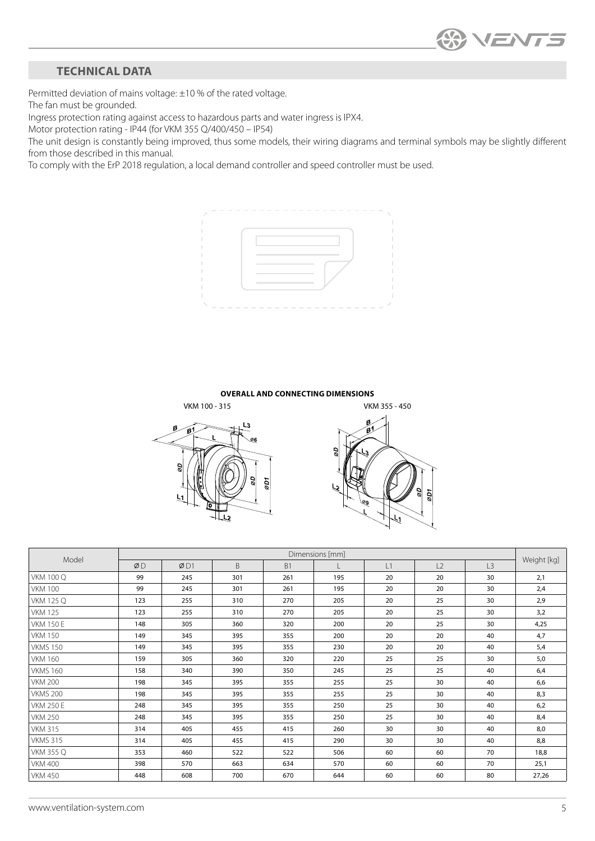# <span id="page-4-0"></span>**TECHNICAL DATA**

Permitted deviation of mains voltage: ±10 % of the rated voltage.

The fan must be grounded.

Ingress protection rating against access to hazardous parts and water ingress is IPX4.

Motor protection rating - IP44 (for VKM 355 Q/400/450 – IP54)

The unit design is constantly being improved, thus some models, their wiring diagrams and terminal symbols may be slightly different from those described in this manual.

To comply with the ErP 2018 regulation, a local demand controller and speed controller must be used.



#### **OVERALL AND CONNECTING DIMENSIONS**





| Model            | Dimensions [mm] |     |     |           |     |    |    |    |             |
|------------------|-----------------|-----|-----|-----------|-----|----|----|----|-------------|
|                  | ØD              | ØD1 | B   | <b>B1</b> |     | L1 | L2 | L3 | Weight [kg] |
| <b>VKM 100 Q</b> | 99              | 245 | 301 | 261       | 195 | 20 | 20 | 30 | 2,1         |
| <b>VKM 100</b>   | 99              | 245 | 301 | 261       | 195 | 20 | 20 | 30 | 2,4         |
| <b>VKM 125 Q</b> | 123             | 255 | 310 | 270       | 205 | 20 | 25 | 30 | 2,9         |
| <b>VKM 125</b>   | 123             | 255 | 310 | 270       | 205 | 20 | 25 | 30 | 3,2         |
| <b>VKM 150 E</b> | 148             | 305 | 360 | 320       | 200 | 20 | 25 | 30 | 4,25        |
| <b>VKM 150</b>   | 149             | 345 | 395 | 355       | 200 | 20 | 20 | 40 | 4,7         |
| <b>VKMS 150</b>  | 149             | 345 | 395 | 355       | 230 | 20 | 20 | 40 | 5,4         |
| <b>VKM 160</b>   | 159             | 305 | 360 | 320       | 220 | 25 | 25 | 30 | 5,0         |
| <b>VKMS 160</b>  | 158             | 340 | 390 | 350       | 245 | 25 | 25 | 40 | 6,4         |
| <b>VKM 200</b>   | 198             | 345 | 395 | 355       | 255 | 25 | 30 | 40 | 6,6         |
| <b>VKMS 200</b>  | 198             | 345 | 395 | 355       | 255 | 25 | 30 | 40 | 8,3         |
| <b>VKM 250 E</b> | 248             | 345 | 395 | 355       | 250 | 25 | 30 | 40 | 6,2         |
| <b>VKM 250</b>   | 248             | 345 | 395 | 355       | 250 | 25 | 30 | 40 | 8,4         |
| <b>VKM 315</b>   | 314             | 405 | 455 | 415       | 260 | 30 | 30 | 40 | 8,0         |
| <b>VKMS 315</b>  | 314             | 405 | 455 | 415       | 290 | 30 | 30 | 40 | 8,8         |
| <b>VKM 355 Q</b> | 353             | 460 | 522 | 522       | 506 | 60 | 60 | 70 | 18,8        |
| <b>VKM 400</b>   | 398             | 570 | 663 | 634       | 570 | 60 | 60 | 70 | 25,1        |
| <b>VKM 450</b>   | 448             | 608 | 700 | 670       | 644 | 60 | 60 | 80 | 27,26       |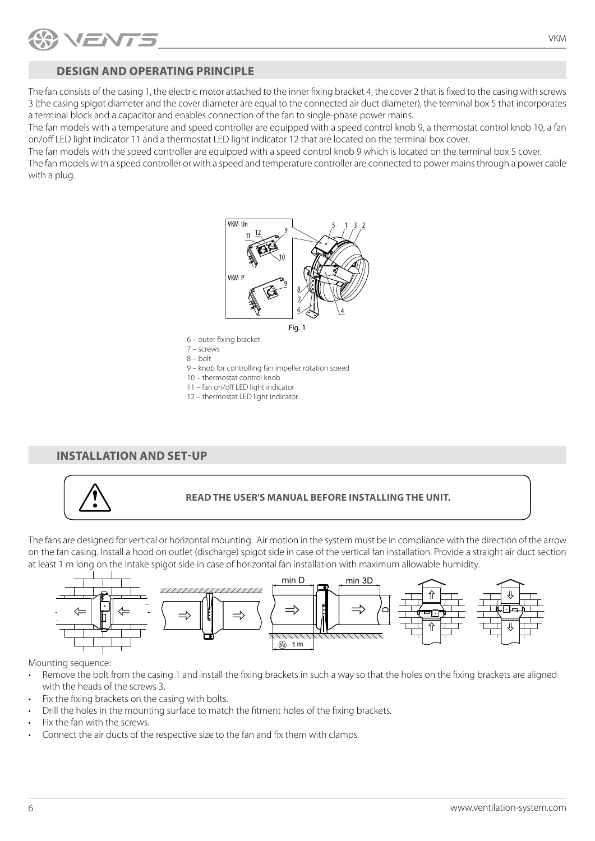<span id="page-5-0"></span>

## **DESIGN AND OPERATING PRINCIPLE**

The fan consists of the casing 1, the electric motor attached to the inner fixing bracket 4, the cover 2 that is fixed to the casing with screws 3 (the casing spigot diameter and the cover diameter are equal to the connected air duct diameter), the terminal box 5 that incorporates a terminal block and a capacitor and enables connection of the fan to single-phase power mains.

The fan models with a temperature and speed controller are equipped with a speed control knob 9, a thermostat control knob 10, a fan on/off LED light indicator 11 and a thermostat LED light indicator 12 that are located on the terminal box cover.

The fan models with the speed controller are equipped with a speed control knob 9 which is located on the terminal box 5 cover.

The fan models with a speed controller or with a speed and temperature controller are connected to power mains through a power cable with a plug.



- 6 outer fixing bracket 7 – screws
- 8 bolt

9 – knob for controlling fan impeller rotation speed

- 10 thermostat control knob
- 11 fan on/off LED light indicator
- 12 thermostat LED light indicator

### **INSTALLATION AND SET-UP**



### **READ THE USER'S MANUAL BEFORE INSTALLING THE UNIT.**

The fans are designed for vertical or horizontal mounting. Air motion in the system must be in compliance with the direction of the arrow on the fan casing. Install a hood on outlet (discharge) spigot side in case of the vertical fan installation. Provide a straight air duct section at least 1 m long on the intake spigot side in case of horizontal fan installation with maximum allowable humidity.



Mounting sequence:

- Remove the bolt from the casing 1 and install the fixing brackets in such a way so that the holes on the fixing brackets are aligned with the heads of the screws 3.
- Fix the fixing brackets on the casing with bolts.
- Drill the holes in the mounting surface to match the fitment holes of the fixing brackets.
- Fix the fan with the screws.
- Connect the air ducts of the respective size to the fan and fix them with clamps.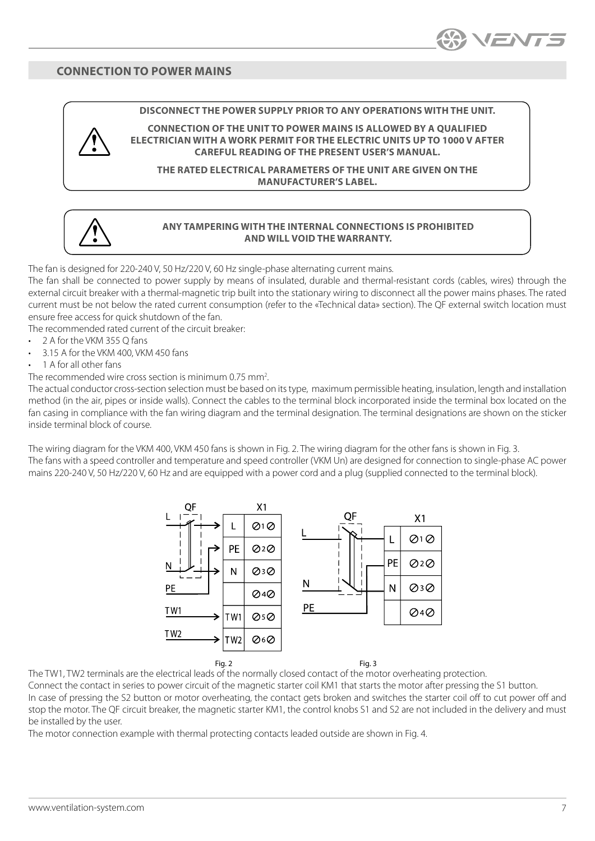### <span id="page-6-0"></span>**CONNECTION TO POWER MAINS**

#### **DISCONNECT THE POWER SUPPLY PRIOR TO ANY OPERATIONS WITH THE UNIT.**

**CONNECTION OF THE UNIT TO POWER MAINS IS ALLOWED BY A QUALIFIED ELECTRICIAN WITH A WORK PERMIT FOR THE ELECTRIC UNITS UP TO 1000 V AFTER CAREFUL READING OF THE PRESENT USER'S MANUAL.**

**THE RATED ELECTRICAL PARAMETERS OF THE UNIT ARE GIVEN ON THE MANUFACTURER'S LABEL.** 

#### **ANY TAMPERING WITH THE INTERNAL CONNECTIONS IS PROHIBITED AND WILL VOID THE WARRANTY.**

The fan is designed for 220-240 V, 50 Hz/220 V, 60 Hz single-phase alternating current mains.

The fan shall be connected to power supply by means of insulated, durable and thermal-resistant cords (cables, wires) through the external circuit breaker with a thermal-magnetic trip built into the stationary wiring to disconnect all the power mains phases. The rated current must be not below the rated current consumption (refer to the «Technical data» section). The QF external switch location must ensure free access for quick shutdown of the fan.

The recommended rated current of the circuit breaker:

- 2 A for the VKM 355 Q fans
- 3.15 A for the VKM 400, VKM 450 fans
- 1 A for all other fans

The recommended wire cross section is minimum 0.75 mm<sup>2</sup>. .

The actual conductor cross-section selection must be based on its type, maximum permissible heating, insulation, length and installation method (in the air, pipes or inside walls). Connect the cables to the terminal block incorporated inside the terminal box located on the fan casing in compliance with the fan wiring diagram and the terminal designation. The terminal designations are shown on the sticker inside terminal block of course.

The wiring diagram for the VKM 400, VKM 450 fans is shown in Fig. 2. The wiring diagram for the other fans is shown in Fig. 3. The fans with a speed controller and temperature and speed controller (VKM Un) are designed for connection to single-phase AC power mains 220-240 V, 50 Hz/220 V, 60 Hz and are equipped with a power cord and a plug (supplied connected to the terminal block).



The TW1, TW2 terminals are the electrical leads of the normally closed contact of the motor overheating protection.

Connect the contact in series to power circuit of the magnetic starter coil KM1 that starts the motor after pressing the S1 button. In case of pressing the S2 button or motor overheating, the contact gets broken and switches the starter coil off to cut power off and stop the motor. The QF circuit breaker, the magnetic starter KM1, the control knobs S1 and S2 are not included in the delivery and must be installed by the user.

The motor connection example with thermal protecting contacts leaded outside are shown in Fig. 4.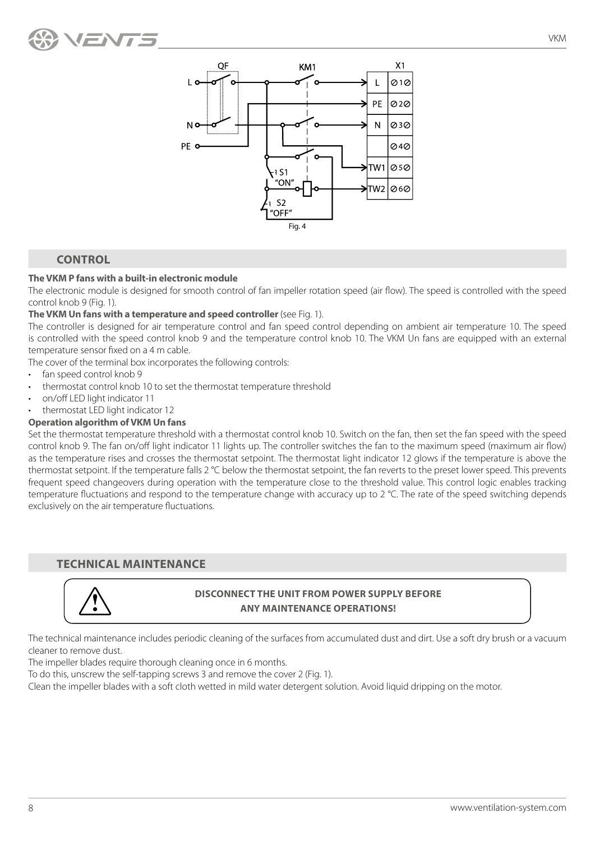<span id="page-7-0"></span>



# **CONTROL**

#### **The VKM P fans with a built-in electronic module**

The electronic module is designed for smooth control of fan impeller rotation speed (air flow). The speed is controlled with the speed control knob 9 (Fig. 1).

#### **The VKM Un fans with a temperature and speed controller** (see Fig. 1).

The controller is designed for air temperature control and fan speed control depending on ambient air temperature 10. The speed is controlled with the speed control knob 9 and the temperature control knob 10. The VKM Un fans are equipped with an external temperature sensor fixed on a 4 m cable.

The cover of the terminal box incorporates the following controls:

- fan speed control knob 9
- thermostat control knob 10 to set the thermostat temperature threshold
- on/off LED light indicator 11
- thermostat LED light indicator 12

### **Operation algorithm of VKM Un fans**

Set the thermostat temperature threshold with a thermostat control knob 10. Switch on the fan, then set the fan speed with the speed control knob 9. The fan on/off light indicator 11 lights up. The controller switches the fan to the maximum speed (maximum air flow) as the temperature rises and crosses the thermostat setpoint. The thermostat light indicator 12 glows if the temperature is above the thermostat setpoint. If the temperature falls 2 °C below the thermostat setpoint, the fan reverts to the preset lower speed. This prevents frequent speed changeovers during operation with the temperature close to the threshold value. This control logic enables tracking temperature fluctuations and respond to the temperature change with accuracy up to 2 °C. The rate of the speed switching depends exclusively on the air temperature fluctuations.

### **TECHNICAL MAINTENANCE**



## **DISCONNECT THE UNIT FROM POWER SUPPLY BEFORE ANY MAINTENANCE OPERATIONS!**

The technical maintenance includes periodic cleaning of the surfaces from accumulated dust and dirt. Use a soft dry brush or a vacuum cleaner to remove dust.

The impeller blades require thorough cleaning once in 6 months.

To do this, unscrew the self-tapping screws 3 and remove the cover 2 (Fig. 1).

Clean the impeller blades with a soft cloth wetted in mild water detergent solution. Avoid liquid dripping on the motor.

VKM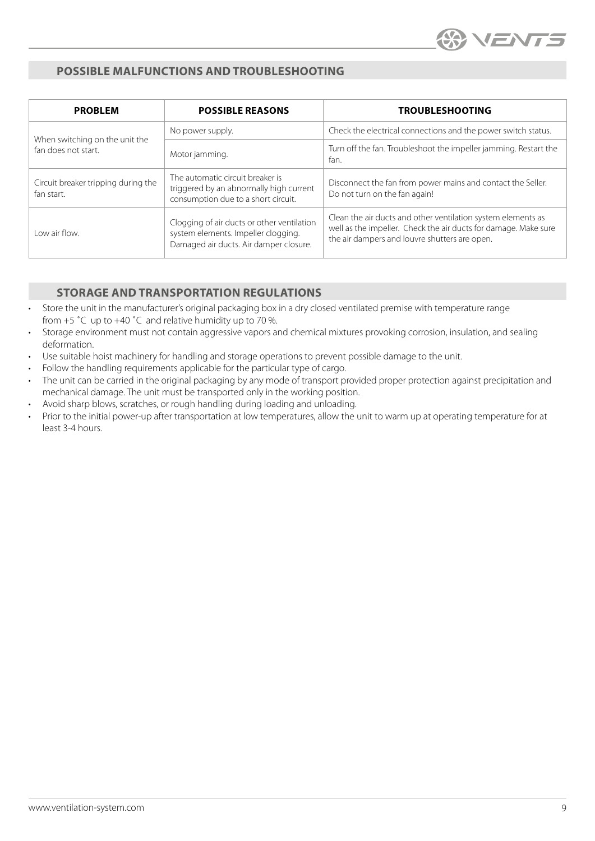

# <span id="page-8-0"></span>**POSSIBLE MALFUNCTIONS AND TROUBLESHOOTING**

| <b>PROBLEM</b>                                        | <b>POSSIBLE REASONS</b>                                                                                                     | <b>TROUBLESHOOTING</b>                                                                                                                                                           |  |  |
|-------------------------------------------------------|-----------------------------------------------------------------------------------------------------------------------------|----------------------------------------------------------------------------------------------------------------------------------------------------------------------------------|--|--|
|                                                       | No power supply.                                                                                                            | Check the electrical connections and the power switch status.                                                                                                                    |  |  |
| When switching on the unit the<br>fan does not start. | Motor jamming.                                                                                                              | Turn off the fan. Troubleshoot the impeller jamming. Restart the<br>fan.                                                                                                         |  |  |
| Circuit breaker tripping during the<br>fan start.     | The automatic circuit breaker is<br>triggered by an abnormally high current<br>consumption due to a short circuit.          | Disconnect the fan from power mains and contact the Seller.<br>Do not turn on the fan again!                                                                                     |  |  |
| Low air flow.                                         | Clogging of air ducts or other ventilation<br>system elements. Impeller clogging.<br>Damaged air ducts. Air damper closure. | Clean the air ducts and other ventilation system elements as<br>well as the impeller. Check the air ducts for damage. Make sure<br>the air dampers and louvre shutters are open. |  |  |

# **STORAGE AND TRANSPORTATION REGULATIONS**

- Store the unit in the manufacturer's original packaging box in a dry closed ventilated premise with temperature range from  $+5$  °C up to  $+40$  °C and relative humidity up to 70 %.
- Storage environment must not contain aggressive vapors and chemical mixtures provoking corrosion, insulation, and sealing deformation.
- Use suitable hoist machinery for handling and storage operations to prevent possible damage to the unit.
- Follow the handling requirements applicable for the particular type of cargo.
- The unit can be carried in the original packaging by any mode of transport provided proper protection against precipitation and mechanical damage. The unit must be transported only in the working position.
- Avoid sharp blows, scratches, or rough handling during loading and unloading.
- Prior to the initial power-up after transportation at low temperatures, allow the unit to warm up at operating temperature for at least 3-4 hours.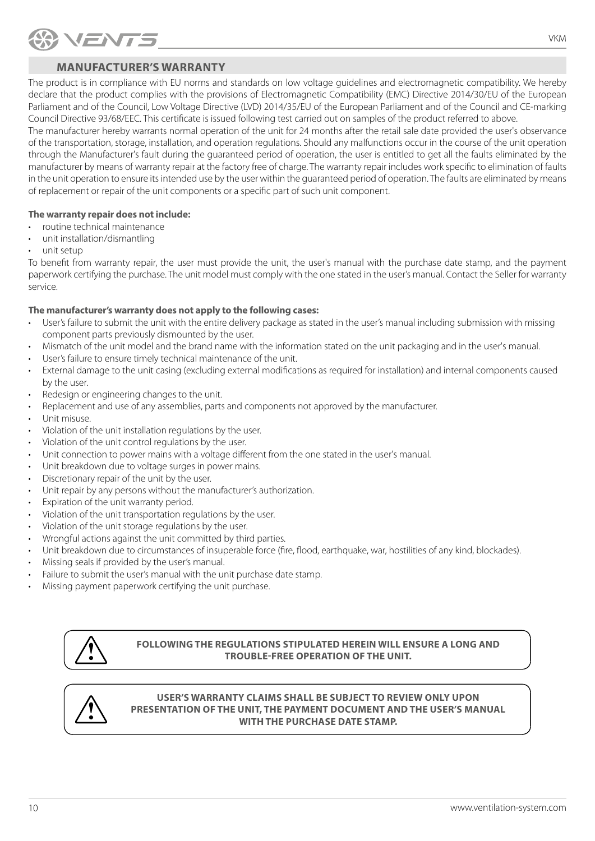<span id="page-9-0"></span>

# **MANUFACTURER'S WARRANTY**

The product is in compliance with EU norms and standards on low voltage guidelines and electromagnetic compatibility. We hereby declare that the product complies with the provisions of Electromagnetic Compatibility (EMC) Directive 2014/30/EU of the European Parliament and of the Council, Low Voltage Directive (LVD) 2014/35/EU of the European Parliament and of the Council and CE-marking Council Directive 93/68/EEC. This certificate is issued following test carried out on samples of the product referred to above.

The manufacturer hereby warrants normal operation of the unit for 24 months after the retail sale date provided the user's observance of the transportation, storage, installation, and operation regulations. Should any malfunctions occur in the course of the unit operation through the Manufacturer's fault during the guaranteed period of operation, the user is entitled to get all the faults eliminated by the manufacturer by means of warranty repair at the factory free of charge. The warranty repair includes work specific to elimination of faults in the unit operation to ensure its intended use by the user within the guaranteed period of operation. The faults are eliminated by means of replacement or repair of the unit components or a specific part of such unit component.

### **The warranty repair does not include:**

- routine technical maintenance
- unit installation/dismantling
- unit setup

To benefit from warranty repair, the user must provide the unit, the user's manual with the purchase date stamp, and the payment paperwork certifying the purchase. The unit model must comply with the one stated in the user's manual. Contact the Seller for warranty service.

### **The manufacturer's warranty does not apply to the following cases:**

- User's failure to submit the unit with the entire delivery package as stated in the user's manual including submission with missing component parts previously dismounted by the user.
- Mismatch of the unit model and the brand name with the information stated on the unit packaging and in the user's manual.
- User's failure to ensure timely technical maintenance of the unit.
- External damage to the unit casing (excluding external modifications as required for installation) and internal components caused by the user.
- Redesign or engineering changes to the unit.
- Replacement and use of any assemblies, parts and components not approved by the manufacturer.
- Unit misuse.
- Violation of the unit installation regulations by the user.
- Violation of the unit control regulations by the user.
- Unit connection to power mains with a voltage different from the one stated in the user's manual.
- Unit breakdown due to voltage surges in power mains.
- Discretionary repair of the unit by the user.
- Unit repair by any persons without the manufacturer's authorization.
- Expiration of the unit warranty period.
- Violation of the unit transportation regulations by the user.
- Violation of the unit storage regulations by the user.
- Wrongful actions against the unit committed by third parties.
- Unit breakdown due to circumstances of insuperable force (fire, flood, earthquake, war, hostilities of any kind, blockades).
- Missing seals if provided by the user's manual.
- Failure to submit the user's manual with the unit purchase date stamp.
- Missing payment paperwork certifying the unit purchase.



**FOLLOWING THE REGULATIONS STIPULATED HEREIN WILL ENSURE A LONG AND TROUBLE-FREE OPERATION OF THE UNIT.**



#### **USER'S WARRANTY CLAIMS SHALL BE SUBJECT TO REVIEW ONLY UPON PRESENTATION OF THE UNIT, THE PAYMENT DOCUMENT AND THE USER'S MANUAL WITH THE PURCHASE DATE STAMP.**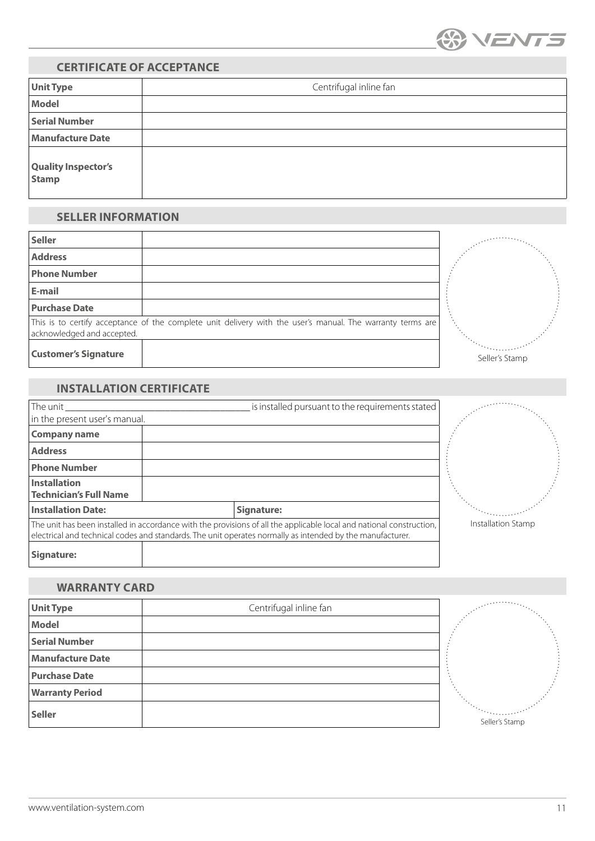

# <span id="page-10-0"></span>**CERTIFICATE OF ACCEPTANCE**

| <b>Unit Type</b>                    | Centrifugal inline fan |  |  |
|-------------------------------------|------------------------|--|--|
| Model                               |                        |  |  |
| <b>Serial Number</b>                |                        |  |  |
| <b>Manufacture Date</b>             |                        |  |  |
| <b>Quality Inspector's</b><br>Stamp |                        |  |  |

### **SELLER INFORMATION**

| <b>Seller</b>               |                                                                                                            |                |  |
|-----------------------------|------------------------------------------------------------------------------------------------------------|----------------|--|
| <b>Address</b>              |                                                                                                            |                |  |
| <b>Phone Number</b>         |                                                                                                            |                |  |
| E-mail                      |                                                                                                            |                |  |
| <b>Purchase Date</b>        |                                                                                                            |                |  |
| acknowledged and accepted.  | This is to certify acceptance of the complete unit delivery with the user's manual. The warranty terms are |                |  |
| <b>Customer's Signature</b> |                                                                                                            | Seller's Stamp |  |

# **INSTALLATION CERTIFICATE**

| The unit                                                                                                                                                                                                                          |  |            | is installed pursuant to the requirements stated |                    |
|-----------------------------------------------------------------------------------------------------------------------------------------------------------------------------------------------------------------------------------|--|------------|--------------------------------------------------|--------------------|
| in the present user's manual.                                                                                                                                                                                                     |  |            |                                                  |                    |
| <b>Company name</b>                                                                                                                                                                                                               |  |            |                                                  |                    |
| <b>Address</b>                                                                                                                                                                                                                    |  |            |                                                  |                    |
| <b>Phone Number</b>                                                                                                                                                                                                               |  |            |                                                  |                    |
| Installation                                                                                                                                                                                                                      |  |            |                                                  |                    |
| <b>Technician's Full Name</b>                                                                                                                                                                                                     |  |            |                                                  |                    |
| <b>Installation Date:</b>                                                                                                                                                                                                         |  | Signature: |                                                  |                    |
| The unit has been installed in accordance with the provisions of all the applicable local and national construction,<br>electrical and technical codes and standards. The unit operates normally as intended by the manufacturer. |  |            |                                                  | Installation Stamp |
| Signature:                                                                                                                                                                                                                        |  |            |                                                  |                    |

### **WARRANTY CARD**

| <b>Unit Type</b>        | Centrifugal inline fan | a errorea (j. 1 |
|-------------------------|------------------------|-----------------|
| Model                   |                        |                 |
| <b>Serial Number</b>    |                        |                 |
| <b>Manufacture Date</b> |                        |                 |
| <b>Purchase Date</b>    |                        |                 |
| <b>Warranty Period</b>  |                        |                 |
| Seller                  |                        | Seller's Stamp  |